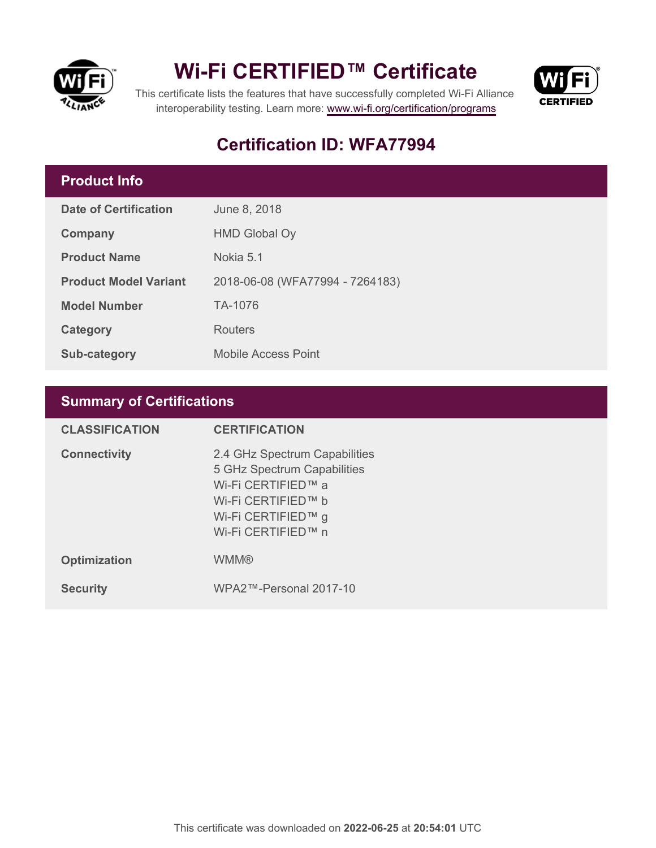

## **Wi-Fi CERTIFIED™ Certificate**



This certificate lists the features that have successfully completed Wi-Fi Alliance interoperability testing. Learn more:<www.wi-fi.org/certification/programs>

## **Certification ID: WFA77994**

## **Product Info**

| <b>Date of Certification</b> | June 8, 2018                    |
|------------------------------|---------------------------------|
| Company                      | <b>HMD Global Oy</b>            |
| <b>Product Name</b>          | Nokia 5.1                       |
| <b>Product Model Variant</b> | 2018-06-08 (WFA77994 - 7264183) |
| <b>Model Number</b>          | TA-1076                         |
| <b>Category</b>              | Routers                         |
| Sub-category                 | <b>Mobile Access Point</b>      |

## **Summary of Certifications**

| <b>CLASSIFICATION</b> | <b>CERTIFICATION</b>                                                                                                                                 |
|-----------------------|------------------------------------------------------------------------------------------------------------------------------------------------------|
| <b>Connectivity</b>   | 2.4 GHz Spectrum Capabilities<br>5 GHz Spectrum Capabilities<br>Wi-Fi CERTIFIED™ a<br>Wi-Fi CERTIFIED™ b<br>Wi-Fi CERTIFIED™ g<br>Wi-Fi CERTIFIED™ n |
| <b>Optimization</b>   | <b>WMM®</b>                                                                                                                                          |
| <b>Security</b>       | WPA2™-Personal 2017-10                                                                                                                               |